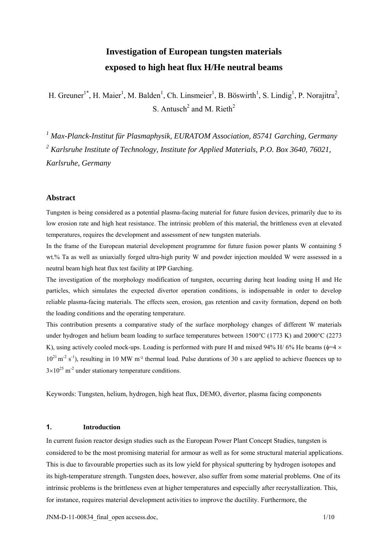# **Investigation of European tungsten materials exposed to high heat flux H/He neutral beams**

H. Greuner<sup>1\*</sup>, H. Maier<sup>1</sup>, M. Balden<sup>1</sup>, Ch. Linsmeier<sup>1</sup>, B. Böswirth<sup>1</sup>, S. Lindig<sup>1</sup>, P. Norajitra<sup>2</sup>, S. Antusch<sup>2</sup> and M. Rieth<sup>2</sup>

*<sup>1</sup> Max-Planck-Institut für Plasmaphysik, EURATOM Association, 85741 Garching, Germany*  <sup>2</sup> Karlsruhe Institute of Technology, Institute for Applied Materials, P.O. Box 3640, 76021, *Karlsruhe, Germany*

#### **Abstract**

Tungsten is being considered as a potential plasma-facing material for future fusion devices, primarily due to its low erosion rate and high heat resistance. The intrinsic problem of this material, the brittleness even at elevated temperatures, requires the development and assessment of new tungsten materials.

In the frame of the European material development programme for future fusion power plants W containing 5 wt.% Ta as well as uniaxially forged ultra-high purity W and powder injection moulded W were assessed in a neutral beam high heat flux test facility at IPP Garching.

The investigation of the morphology modification of tungsten, occurring during heat loading using H and He particles, which simulates the expected divertor operation conditions, is indispensable in order to develop reliable plasma-facing materials. The effects seen, erosion, gas retention and cavity formation, depend on both the loading conditions and the operating temperature.

This contribution presents a comparative study of the surface morphology changes of different W materials under hydrogen and helium beam loading to surface temperatures between 1500°C (1773 K) and 2000°C (2273 K), using actively cooled mock-ups. Loading is performed with pure H and mixed 94% H/ 6% He beams ( $\phi$ =4  $\times$  $10^{21}$  m<sup>-2</sup> s<sup>-1</sup>), resulting in 10 MW m<sup>-2</sup> thermal load. Pulse durations of 30 s are applied to achieve fluences up to  $3\times10^{25}$  m<sup>-2</sup> under stationary temperature conditions.

Keywords: Tungsten, helium, hydrogen, high heat flux, DEMO, divertor, plasma facing components

# **1. Introduction**

In current fusion reactor design studies such as the European Power Plant Concept Studies, tungsten is considered to be the most promising material for armour as well as for some structural material applications. This is due to favourable properties such as its low yield for physical sputtering by hydrogen isotopes and its high-temperature strength. Tungsten does, however, also suffer from some material problems. One of its intrinsic problems is the brittleness even at higher temperatures and especially after recrystallization. This, for instance, requires material development activities to improve the ductility. Furthermore, the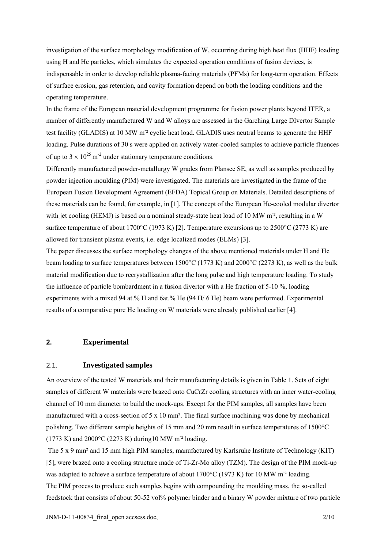investigation of the surface morphology modification of W, occurring during high heat flux (HHF) loading using H and He particles, which simulates the expected operation conditions of fusion devices, is indispensable in order to develop reliable plasma-facing materials (PFMs) for long-term operation. Effects of surface erosion, gas retention, and cavity formation depend on both the loading conditions and the operating temperature.

In the frame of the European material development programme for fusion power plants beyond ITER, a number of differently manufactured W and W alloys are assessed in the Garching Large DIvertor Sample test facility (GLADIS) at 10 MW m<sup>-2</sup> cyclic heat load. GLADIS uses neutral beams to generate the HHF loading. Pulse durations of 30 s were applied on actively water-cooled samples to achieve particle fluences of up to  $3 \times 10^{25}$  m<sup>-2</sup> under stationary temperature conditions.

Differently manufactured powder-metallurgy W grades from Plansee SE, as well as samples produced by powder injection moulding (PIM) were investigated. The materials are investigated in the frame of the European Fusion Development Agreement (EFDA) Topical Group on Materials. Detailed descriptions of these materials can be found, for example, in [1]. The concept of the European He-cooled modular divertor with jet cooling (HEMJ) is based on a nominal steady-state heat load of 10 MW m<sup>-2</sup>, resulting in a W surface temperature of about 1700 $\degree$ C (1973 K) [2]. Temperature excursions up to 2500 $\degree$ C (2773 K) are allowed for transient plasma events, i.e. edge localized modes (ELMs) [3].

The paper discusses the surface morphology changes of the above mentioned materials under H and He beam loading to surface temperatures between 1500°C (1773 K) and 2000°C (2273 K), as well as the bulk material modification due to recrystallization after the long pulse and high temperature loading. To study the influence of particle bombardment in a fusion divertor with a He fraction of 5-10 %, loading experiments with a mixed 94 at.% H and 6at.% He (94 H/ 6 He) beam were performed. Experimental results of a comparative pure He loading on W materials were already published earlier [4].

## **2. Experimental**

#### 2.1. **Investigated samples**

An overview of the tested W materials and their manufacturing details is given in Table 1. Sets of eight samples of different W materials were brazed onto CuCrZr cooling structures with an inner water-cooling channel of 10 mm diameter to build the mock-ups. Except for the PIM samples, all samples have been manufactured with a cross-section of 5 x 10 mm². The final surface machining was done by mechanical polishing. Two different sample heights of 15 mm and 20 mm result in surface temperatures of 1500°C  $(1773 \text{ K})$  and  $2000^{\circ}$ C (2273 K) during 10 MW m<sup>-2</sup> loading.

 The 5 x 9 mm² and 15 mm high PIM samples, manufactured by Karlsruhe Institute of Technology (KIT) [5], were brazed onto a cooling structure made of Ti-Zr-Mo alloy (TZM). The design of the PIM mock-up was adapted to achieve a surface temperature of about  $1700^{\circ}$ C (1973 K) for 10 MW m<sup>-2</sup> loading. The PIM process to produce such samples begins with compounding the moulding mass, the so-called feedstock that consists of about 50-52 vol% polymer binder and a binary W powder mixture of two particle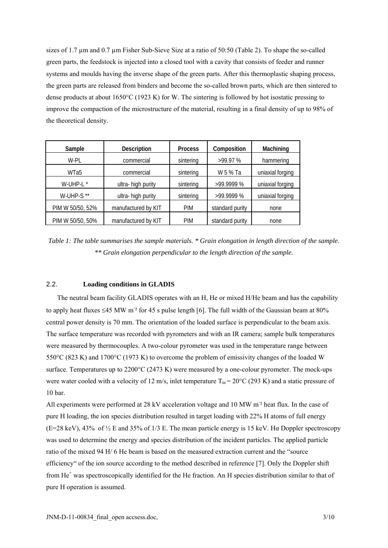sizes of 1.7  $\mu$ m and 0.7  $\mu$ m Fisher Sub-Sieve Size at a ratio of 50:50 (Table 2). To shape the so-called green parts, the feedstock is injected into a closed tool with a cavity that consists of feeder and runner systems and moulds having the inverse shape of the green parts. After this thermoplastic shaping process, the green parts are released from binders and become the so-called brown parts, which are then sintered to dense products at about 1650°C (1923 K) for W. The sintering is followed by hot isostatic pressing to improve the compaction of the microstructure of the material, resulting in a final density of up to 98% of the theoretical density.

| Sample           | <b>Description</b>  | <b>Process</b> | Composition     | Machining        |
|------------------|---------------------|----------------|-----------------|------------------|
| W-PL             | commercial          | sintering      | >99.97 %        | hammering        |
| WTa5             | commercial          | sintering      | W 5 % Ta        | uniaxial forging |
| W-UHP-L $*$      | ultra-high purity   | sintering      | >99.9999%       | uniaxial forging |
| W-UHP-S**        | ultra-high purity   | sintering      | >99.9999%       | uniaxial forging |
| PIM W 50/50, 52% | manufactured by KIT | <b>PIM</b>     | standard purity | none             |
| PIM W 50/50, 50% | manufactured by KIT | PIM            | standard purity | none             |

*Table 1: The table summarises the sample materials. \* Grain elongation in length direction of the sample. \*\* Grain elongation perpendicular to the length direction of the sample.* 

#### 2.2. **Loading conditions in GLADIS**

 The neutral beam facility GLADIS operates with an H, He or mixed H/He beam and has the capability to apply heat fluxes  $\leq$ 45 MW m<sup>-2</sup> for 45 s pulse length [6]. The full width of the Gaussian beam at 80% central power density is 70 mm. The orientation of the loaded surface is perpendicular to the beam axis. The surface temperature was recorded with pyrometers and with an IR camera; sample bulk temperatures were measured by thermocouples. A two-colour pyrometer was used in the temperature range between 550°C (823 K) and 1700°C (1973 K) to overcome the problem of emissivity changes of the loaded W surface. Temperatures up to 2200°C (2473 K) were measured by a one-colour pyrometer. The mock-ups were water cooled with a velocity of 12 m/s, inlet temperature  $T_{in} = 20^{\circ}C(293 K)$  and a static pressure of 10 bar.

All experiments were performed at 28 kV acceleration voltage and 10 MW m<sup>-2</sup> heat flux. In the case of pure H loading, the ion species distribution resulted in target loading with 22% H atoms of full energy (E=28 keV), 43% of ½ E and 35% of 1/3 E. The mean particle energy is 15 keV. Hα Doppler spectroscopy was used to determine the energy and species distribution of the incident particles. The applied particle ratio of the mixed 94 H/ 6 He beam is based on the measured extraction current and the "source efficiency" of the ion source according to the method described in reference [7]. Only the Doppler shift from He<sup>+</sup> was spectroscopically identified for the He fraction. An H species distribution similar to that of pure H operation is assumed.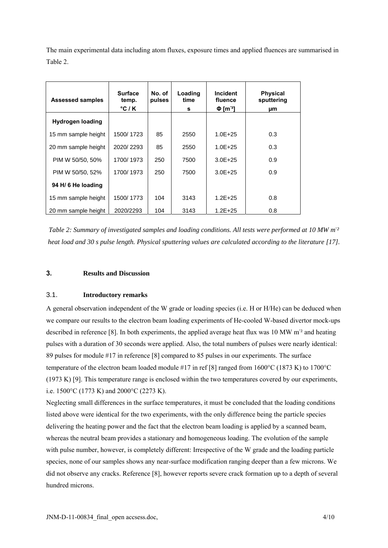The main experimental data including atom fluxes, exposure times and applied fluences are summarised in Table 2.

| <b>Assessed samples</b> | <b>Surface</b><br>temp.<br>°C / K | No. of<br>pulses | Loading<br>time<br>s | <b>Incident</b><br>fluence<br>$\Phi$ [m <sup>-2</sup> ] | <b>Physical</b><br>sputtering<br>μm |
|-------------------------|-----------------------------------|------------------|----------------------|---------------------------------------------------------|-------------------------------------|
| <b>Hydrogen loading</b> |                                   |                  |                      |                                                         |                                     |
| 15 mm sample height     | 1500/1723                         | 85               | 2550                 | $1.0F + 25$                                             | 0.3                                 |
| 20 mm sample height     | 2020/2293                         | 85               | 2550                 | $1.0E + 25$                                             | 0.3                                 |
| PIM W 50/50, 50%        | 1700/1973                         | 250              | 7500                 | $3.0F + 25$                                             | 0.9                                 |
| PIM W 50/50, 52%        | 1700/1973                         | 250              | 7500                 | $3.0E + 25$                                             | 0.9                                 |
| 94 H/ 6 He loading      |                                   |                  |                      |                                                         |                                     |
| 15 mm sample height     | 1500/1773                         | 104              | 3143                 | $1.2E + 25$                                             | 0.8                                 |
| 20 mm sample height     | 2020/2293                         | 104              | 3143                 | $1.2E + 25$                                             | 0.8                                 |

*Table 2: Summary of investigated samples and loading conditions. All tests were performed at 10 MW m- ² heat load and 30 s pulse length. Physical sputtering values are calculated according to the literature [17].* 

## **3. Results and Discussion**

## 3.1. **Introductory remarks**

A general observation independent of the W grade or loading species (i.e. H or H/He) can be deduced when we compare our results to the electron beam loading experiments of He-cooled W-based divertor mock-ups described in reference [8]. In both experiments, the applied average heat flux was 10 MW m<sup>-2</sup> and heating pulses with a duration of 30 seconds were applied. Also, the total numbers of pulses were nearly identical: 89 pulses for module #17 in reference [8] compared to 85 pulses in our experiments. The surface temperature of the electron beam loaded module #17 in ref [8] ranged from 1600°C (1873 K) to 1700°C (1973 K) [9]. This temperature range is enclosed within the two temperatures covered by our experiments, i.e.  $1500^{\circ}$ C (1773 K) and  $2000^{\circ}$ C (2273 K).

Neglecting small differences in the surface temperatures, it must be concluded that the loading conditions listed above were identical for the two experiments, with the only difference being the particle species delivering the heating power and the fact that the electron beam loading is applied by a scanned beam, whereas the neutral beam provides a stationary and homogeneous loading. The evolution of the sample with pulse number, however, is completely different: Irrespective of the W grade and the loading particle species, none of our samples shows any near-surface modification ranging deeper than a few microns. We did not observe any cracks. Reference [8], however reports severe crack formation up to a depth of several hundred microns.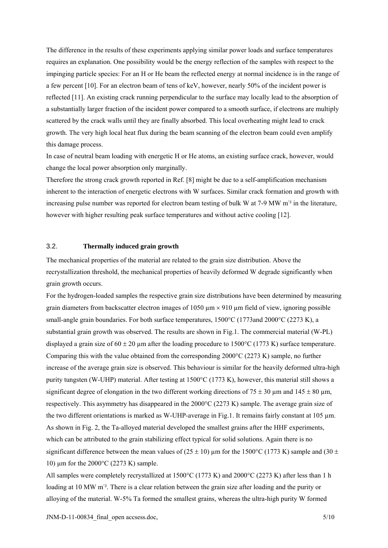The difference in the results of these experiments applying similar power loads and surface temperatures requires an explanation. One possibility would be the energy reflection of the samples with respect to the impinging particle species: For an H or He beam the reflected energy at normal incidence is in the range of a few percent [10]. For an electron beam of tens of keV, however, nearly 50% of the incident power is reflected [11]. An existing crack running perpendicular to the surface may locally lead to the absorption of a substantially larger fraction of the incident power compared to a smooth surface, if electrons are multiply scattered by the crack walls until they are finally absorbed. This local overheating might lead to crack growth. The very high local heat flux during the beam scanning of the electron beam could even amplify this damage process.

In case of neutral beam loading with energetic H or He atoms, an existing surface crack, however, would change the local power absorption only marginally.

Therefore the strong crack growth reported in Ref. [8] might be due to a self-amplification mechanism inherent to the interaction of energetic electrons with W surfaces. Similar crack formation and growth with increasing pulse number was reported for electron beam testing of bulk W at 7-9 MW m<sup>-2</sup> in the literature, however with higher resulting peak surface temperatures and without active cooling [12].

## 3.2. **Thermally induced grain growth**

The mechanical properties of the material are related to the grain size distribution. Above the recrystallization threshold, the mechanical properties of heavily deformed W degrade significantly when grain growth occurs.

For the hydrogen-loaded samples the respective grain size distributions have been determined by measuring grain diameters from backscatter electron images of  $1050 \mu m \times 910 \mu m$  field of view, ignoring possible small-angle grain boundaries. For both surface temperatures, 1500°C (1773and 2000°C (2273 K), a substantial grain growth was observed. The results are shown in Fig.1. The commercial material (W-PL) displayed a grain size of  $60 \pm 20$  um after the loading procedure to 1500°C (1773 K) surface temperature. Comparing this with the value obtained from the corresponding  $2000^{\circ}C(2273 K)$  sample, no further increase of the average grain size is observed. This behaviour is similar for the heavily deformed ultra-high purity tungsten (W-UHP) material. After testing at 1500°C (1773 K), however, this material still shows a significant degree of elongation in the two different working directions of 75  $\pm$  30  $\mu$ m and 145  $\pm$  80  $\mu$ m, respectively. This asymmetry has disappeared in the 2000°C (2273 K) sample. The average grain size of the two different orientations is marked as W-UHP-average in Fig.1. It remains fairly constant at 105  $\mu$ m. As shown in Fig. 2, the Ta-alloyed material developed the smallest grains after the HHF experiments, which can be attributed to the grain stabilizing effect typical for solid solutions. Again there is no significant difference between the mean values of  $(25 \pm 10)$  µm for the 1500°C (1773 K) sample and (30  $\pm$ 10)  $\mu$ m for the 2000°C (2273 K) sample.

All samples were completely recrystallized at 1500°C (1773 K) and 2000°C (2273 K) after less than 1 h loading at 10 MW m<sup>-2</sup>. There is a clear relation between the grain size after loading and the purity or alloying of the material. W-5% Ta formed the smallest grains, whereas the ultra-high purity W formed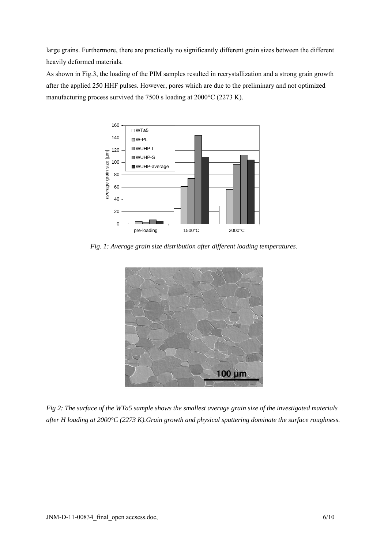large grains. Furthermore, there are practically no significantly different grain sizes between the different heavily deformed materials.

As shown in Fig.3, the loading of the PIM samples resulted in recrystallization and a strong grain growth after the applied 250 HHF pulses. However, pores which are due to the preliminary and not optimized manufacturing process survived the 7500 s loading at 2000°C (2273 K).



*Fig. 1: Average grain size distribution after different loading temperatures.* 



*Fig 2: The surface of the WTa5 sample shows the smallest average grain size of the investigated materials after H loading at 2000°C (2273 K).Grain growth and physical sputtering dominate the surface roughness.*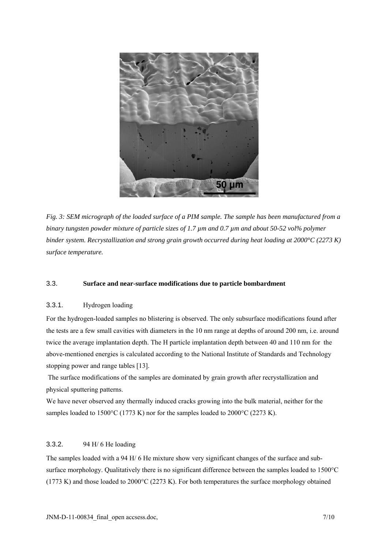

*Fig. 3: SEM micrograph of the loaded surface of a PIM sample. The sample has been manufactured from a binary tungsten powder mixture of particle sizes of 1.7 µm and 0.7 µm and about 50-52 vol% polymer binder system. Recrystallization and strong grain growth occurred during heat loading at 2000°C (2273 K) surface temperature.* 

## 3.3. **Surface and near-surface modifications due to particle bombardment**

## 3.3.1. Hydrogen loading

For the hydrogen-loaded samples no blistering is observed. The only subsurface modifications found after the tests are a few small cavities with diameters in the 10 nm range at depths of around 200 nm, i.e. around twice the average implantation depth. The H particle implantation depth between 40 and 110 nm for the above-mentioned energies is calculated according to the National Institute of Standards and Technology stopping power and range tables [13].

 The surface modifications of the samples are dominated by grain growth after recrystallization and physical sputtering patterns.

We have never observed any thermally induced cracks growing into the bulk material, neither for the samples loaded to 1500 $\degree$ C (1773 K) nor for the samples loaded to 2000 $\degree$ C (2273 K).

#### 3.3.2. 94 H/ 6 He loading

The samples loaded with a 94 H/ 6 He mixture show very significant changes of the surface and subsurface morphology. Qualitatively there is no significant difference between the samples loaded to 1500°C (1773 K) and those loaded to 2000°C (2273 K). For both temperatures the surface morphology obtained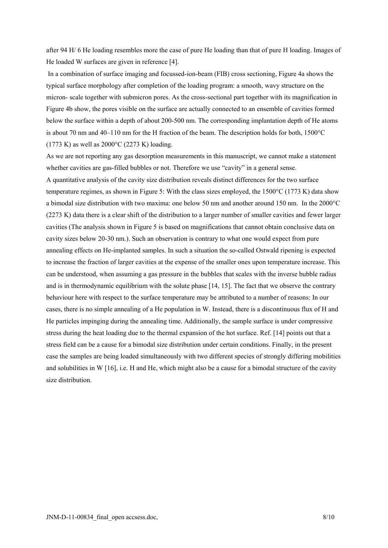after 94 H/ 6 He loading resembles more the case of pure He loading than that of pure H loading. Images of He loaded W surfaces are given in reference [4].

 In a combination of surface imaging and focussed-ion-beam (FIB) cross sectioning, Figure 4a shows the typical surface morphology after completion of the loading program: a smooth, wavy structure on the micron- scale together with submicron pores. As the cross-sectional part together with its magnification in Figure 4b show, the pores visible on the surface are actually connected to an ensemble of cavities formed below the surface within a depth of about 200-500 nm. The corresponding implantation depth of He atoms is about 70 nm and 40–110 nm for the H fraction of the beam. The description holds for both, 1500°C  $(1773 \text{ K})$  as well as 2000 $^{\circ}$ C (2273 K) loading.

As we are not reporting any gas desorption measurements in this manuscript, we cannot make a statement whether cavities are gas-filled bubbles or not. Therefore we use "cavity" in a general sense.

A quantitative analysis of the cavity size distribution reveals distinct differences for the two surface temperature regimes, as shown in Figure 5: With the class sizes employed, the  $1500^{\circ}$ C (1773 K) data show a bimodal size distribution with two maxima: one below 50 nm and another around 150 nm. In the 2000°C (2273 K) data there is a clear shift of the distribution to a larger number of smaller cavities and fewer larger cavities (The analysis shown in Figure 5 is based on magnifications that cannot obtain conclusive data on cavity sizes below 20-30 nm.). Such an observation is contrary to what one would expect from pure annealing effects on He-implanted samples. In such a situation the so-called Ostwald ripening is expected to increase the fraction of larger cavities at the expense of the smaller ones upon temperature increase. This can be understood, when assuming a gas pressure in the bubbles that scales with the inverse bubble radius and is in thermodynamic equilibrium with the solute phase [14, 15]. The fact that we observe the contrary behaviour here with respect to the surface temperature may be attributed to a number of reasons: In our cases, there is no simple annealing of a He population in W. Instead, there is a discontinuous flux of H and He particles impinging during the annealing time. Additionally, the sample surface is under compressive stress during the heat loading due to the thermal expansion of the hot surface. Ref. [14] points out that a stress field can be a cause for a bimodal size distribution under certain conditions. Finally, in the present case the samples are being loaded simultaneously with two different species of strongly differing mobilities and solubilities in W [16], i.e. H and He, which might also be a cause for a bimodal structure of the cavity size distribution.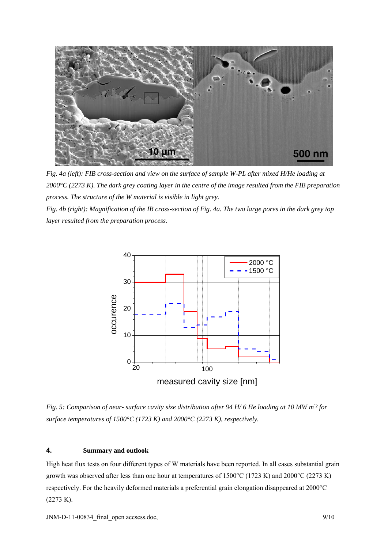

*Fig. 4a (left): FIB cross-section and view on the surface of sample W-PL after mixed H/He loading at 2000°C (2273 K). The dark grey coating layer in the centre of the image resulted from the FIB preparation process. The structure of the W material is visible in light grey.* 

*Fig. 4b (right): Magnification of the IB cross-section of Fig. 4a. The two large pores in the dark grey top layer resulted from the preparation process.* 



*Fig. 5: Comparison of near- surface cavity size distribution after 94 H/ 6 He loading at 10 MW m<sup>-2</sup> for surface temperatures of 1500°C (1723 K) and 2000°C (2273 K), respectively.* 

## **4. Summary and outlook**

High heat flux tests on four different types of W materials have been reported. In all cases substantial grain growth was observed after less than one hour at temperatures of 1500°C (1723 K) and 2000°C (2273 K) respectively. For the heavily deformed materials a preferential grain elongation disappeared at 2000°C (2273 K).

JNM-D-11-00834\_final\_open accsess.doc, 9/10